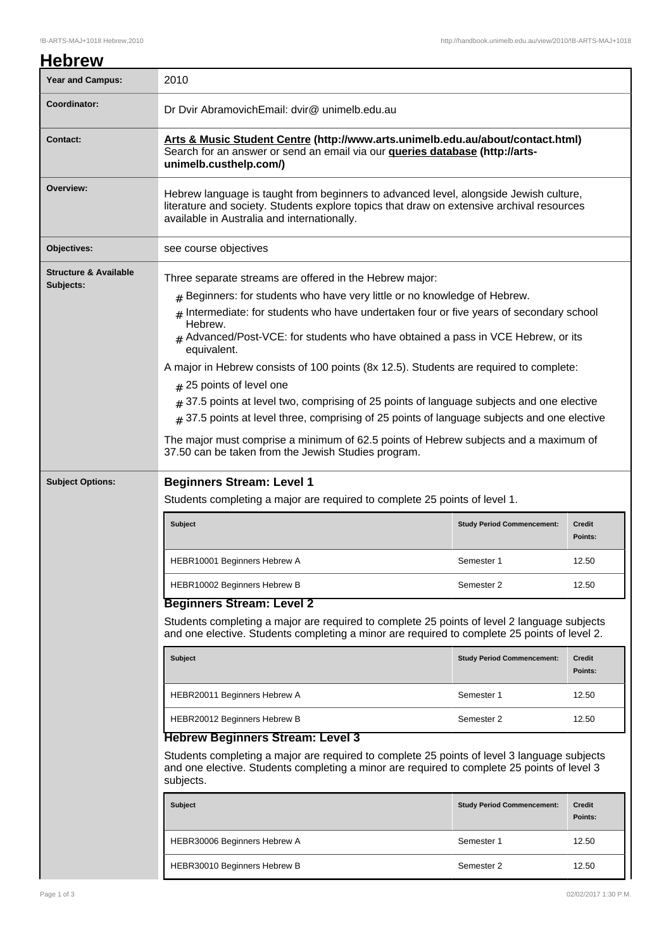| <b>Year and Campus:</b>                       | 2010                                                                                                                                                                                                                                                                                                                                                                                                                                                                    |                                   |                          |
|-----------------------------------------------|-------------------------------------------------------------------------------------------------------------------------------------------------------------------------------------------------------------------------------------------------------------------------------------------------------------------------------------------------------------------------------------------------------------------------------------------------------------------------|-----------------------------------|--------------------------|
| Coordinator:                                  | Dr Dvir AbramovichEmail: dvir@ unimelb.edu.au                                                                                                                                                                                                                                                                                                                                                                                                                           |                                   |                          |
| <b>Contact:</b>                               | Arts & Music Student Centre (http://www.arts.unimelb.edu.au/about/contact.html)<br>Search for an answer or send an email via our <b>gueries database (http://arts-</b><br>unimelb.custhelp.com/)                                                                                                                                                                                                                                                                        |                                   |                          |
| Overview:                                     | Hebrew language is taught from beginners to advanced level, alongside Jewish culture,<br>literature and society. Students explore topics that draw on extensive archival resources<br>available in Australia and internationally.                                                                                                                                                                                                                                       |                                   |                          |
| Objectives:                                   | see course objectives                                                                                                                                                                                                                                                                                                                                                                                                                                                   |                                   |                          |
| <b>Structure &amp; Available</b><br>Subjects: | Three separate streams are offered in the Hebrew major:<br>$#$ Beginners: for students who have very little or no knowledge of Hebrew.<br># Intermediate: for students who have undertaken four or five years of secondary school<br>Hebrew.<br>$#$ Advanced/Post-VCE: for students who have obtained a pass in VCE Hebrew, or its<br>equivalent.                                                                                                                       |                                   |                          |
|                                               | A major in Hebrew consists of 100 points (8x 12.5). Students are required to complete:<br>$#$ 25 points of level one<br>$*$ 37.5 points at level two, comprising of 25 points of language subjects and one elective<br>$_{\#}$ 37.5 points at level three, comprising of 25 points of language subjects and one elective<br>The major must comprise a minimum of 62.5 points of Hebrew subjects and a maximum of<br>37.50 can be taken from the Jewish Studies program. |                                   |                          |
| <b>Subject Options:</b>                       | <b>Beginners Stream: Level 1</b>                                                                                                                                                                                                                                                                                                                                                                                                                                        |                                   |                          |
|                                               | Students completing a major are required to complete 25 points of level 1.                                                                                                                                                                                                                                                                                                                                                                                              |                                   |                          |
|                                               |                                                                                                                                                                                                                                                                                                                                                                                                                                                                         |                                   |                          |
|                                               | Subject                                                                                                                                                                                                                                                                                                                                                                                                                                                                 | <b>Study Period Commencement:</b> | <b>Credit</b><br>Points: |
|                                               | HEBR10001 Beginners Hebrew A                                                                                                                                                                                                                                                                                                                                                                                                                                            | Semester 1                        | 12.50                    |
|                                               | HEBR10002 Beginners Hebrew B                                                                                                                                                                                                                                                                                                                                                                                                                                            | Semester 2                        | 12.50                    |
|                                               | <b>Beginners Stream: Level 2</b><br>Students completing a major are required to complete 25 points of level 2 language subjects<br>and one elective. Students completing a minor are required to complete 25 points of level 2.                                                                                                                                                                                                                                         |                                   |                          |
|                                               | <b>Subject</b>                                                                                                                                                                                                                                                                                                                                                                                                                                                          | <b>Study Period Commencement:</b> | <b>Credit</b><br>Points: |
|                                               | HEBR20011 Beginners Hebrew A                                                                                                                                                                                                                                                                                                                                                                                                                                            | Semester 1                        | 12.50                    |
|                                               | HEBR20012 Beginners Hebrew B                                                                                                                                                                                                                                                                                                                                                                                                                                            | Semester 2                        | 12.50                    |
|                                               | <b>Hebrew Beginners Stream: Level 3</b><br>Students completing a major are required to complete 25 points of level 3 language subjects<br>and one elective. Students completing a minor are required to complete 25 points of level 3<br>subjects.                                                                                                                                                                                                                      |                                   |                          |
|                                               | <b>Subject</b>                                                                                                                                                                                                                                                                                                                                                                                                                                                          | <b>Study Period Commencement:</b> | Credit<br>Points:        |
|                                               | HEBR30006 Beginners Hebrew A                                                                                                                                                                                                                                                                                                                                                                                                                                            | Semester 1                        | 12.50                    |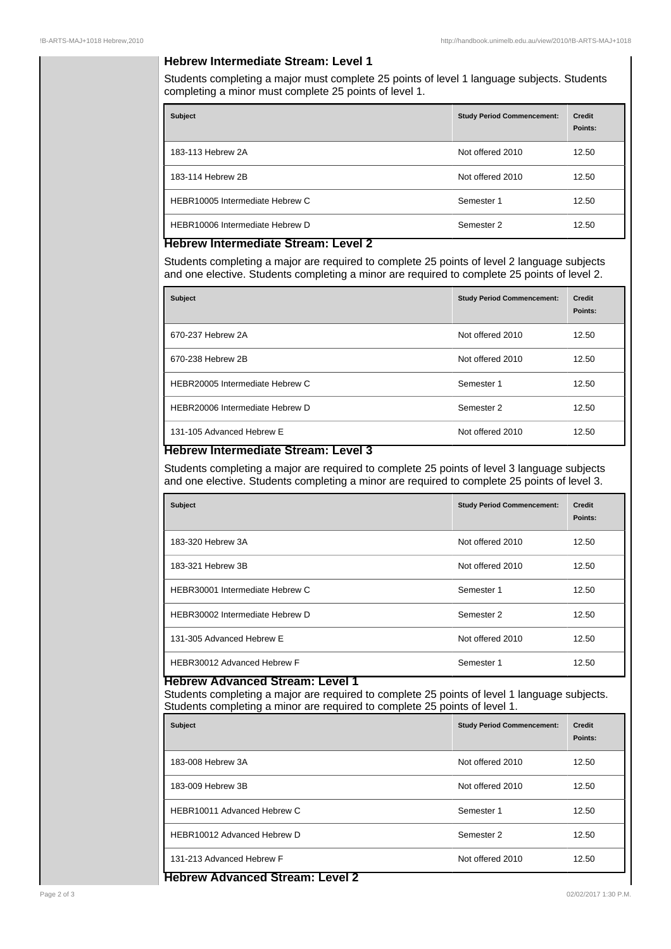### **Hebrew Intermediate Stream: Level 1**

Students completing a major must complete 25 points of level 1 language subjects. Students completing a minor must complete 25 points of level 1.

| <b>Subject</b>                  | <b>Study Period Commencement:</b> | <b>Credit</b><br>Points: |
|---------------------------------|-----------------------------------|--------------------------|
| 183-113 Hebrew 2A               | Not offered 2010                  | 12.50                    |
| 183-114 Hebrew 2B               | Not offered 2010                  | 12.50                    |
| HEBR10005 Intermediate Hebrew C | Semester 1                        | 12.50                    |
| HEBR10006 Intermediate Hebrew D | Semester 2                        | 12.50                    |

## **Hebrew Intermediate Stream: Level 2**

Students completing a major are required to complete 25 points of level 2 language subjects and one elective. Students completing a minor are required to complete 25 points of level 2.

| <b>Subject</b>                  | <b>Study Period Commencement:</b> | <b>Credit</b><br>Points: |
|---------------------------------|-----------------------------------|--------------------------|
| 670-237 Hebrew 2A               | Not offered 2010                  | 12.50                    |
| 670-238 Hebrew 2B               | Not offered 2010                  | 12.50                    |
| HEBR20005 Intermediate Hebrew C | Semester 1                        | 12.50                    |
| HEBR20006 Intermediate Hebrew D | Semester 2                        | 12.50                    |
| 131-105 Advanced Hebrew E       | Not offered 2010                  | 12.50                    |

# **Hebrew Intermediate Stream: Level 3**

Students completing a major are required to complete 25 points of level 3 language subjects and one elective. Students completing a minor are required to complete 25 points of level 3.

| <b>Subject</b>                  | <b>Study Period Commencement:</b> | <b>Credit</b><br>Points: |
|---------------------------------|-----------------------------------|--------------------------|
| 183-320 Hebrew 3A               | Not offered 2010                  | 12.50                    |
| 183-321 Hebrew 3B               | Not offered 2010                  | 12.50                    |
| HEBR30001 Intermediate Hebrew C | Semester 1                        | 12.50                    |
| HEBR30002 Intermediate Hebrew D | Semester 2                        | 12.50                    |
| 131-305 Advanced Hebrew E       | Not offered 2010                  | 12.50                    |
| HEBR30012 Advanced Hebrew F     | Semester 1                        | 12.50                    |

## **Hebrew Advanced Stream: Level 1**

Students completing a major are required to complete 25 points of level 1 language subjects. Students completing a minor are required to complete 25 points of level 1.

| <b>Subject</b>              | <b>Study Period Commencement:</b> | <b>Credit</b><br>Points: |
|-----------------------------|-----------------------------------|--------------------------|
| 183-008 Hebrew 3A           | Not offered 2010                  | 12.50                    |
| 183-009 Hebrew 3B           | Not offered 2010                  | 12.50                    |
| HEBR10011 Advanced Hebrew C | Semester 1                        | 12.50                    |
| HEBR10012 Advanced Hebrew D | Semester 2                        | 12.50                    |
| 131-213 Advanced Hebrew F   | Not offered 2010                  | 12.50                    |

#### **Hebrew Advanced Stream: Level 2**